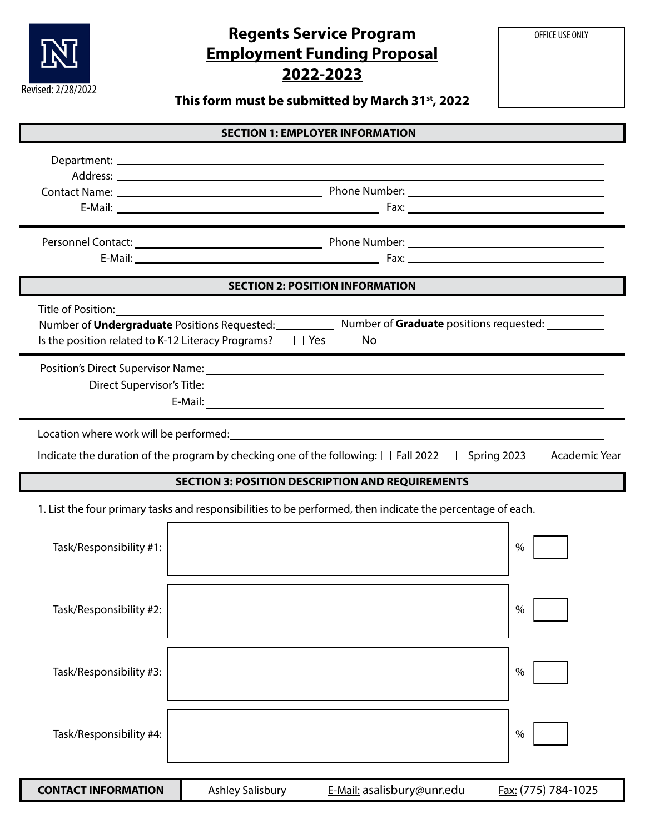

# **Regents Service Program Employment Funding Proposal 2022-2023**

OFFICE USE ONLY

**This form must be submitted by March 31st, 2022**

| <b>SECTION 1: EMPLOYER INFORMATION</b>                  |                                                               |                                                                                                                                 |                     |  |  |  |
|---------------------------------------------------------|---------------------------------------------------------------|---------------------------------------------------------------------------------------------------------------------------------|---------------------|--|--|--|
|                                                         |                                                               |                                                                                                                                 |                     |  |  |  |
|                                                         |                                                               |                                                                                                                                 |                     |  |  |  |
|                                                         |                                                               |                                                                                                                                 |                     |  |  |  |
|                                                         | <b>SECTION 2: POSITION INFORMATION</b>                        |                                                                                                                                 |                     |  |  |  |
| Title of Position:                                      | Is the position related to K-12 Literacy Programs? $\Box$ Yes | Number of <b>Undergraduate</b> Positions Requested: Number of <b>Graduate</b> positions requested:<br>$\Box$ No                 |                     |  |  |  |
|                                                         |                                                               |                                                                                                                                 |                     |  |  |  |
|                                                         |                                                               | Indicate the duration of the program by checking one of the following: $\Box$ Fall 2022 $\Box$ Spring 2023 $\Box$ Academic Year |                     |  |  |  |
| <b>SECTION 3: POSITION DESCRIPTION AND REQUIREMENTS</b> |                                                               |                                                                                                                                 |                     |  |  |  |
|                                                         |                                                               | 1. List the four primary tasks and responsibilities to be performed, then indicate the percentage of each.                      |                     |  |  |  |
| Task/Responsibility #1:                                 |                                                               |                                                                                                                                 | $\%$                |  |  |  |
| Task/Responsibility #2:                                 |                                                               |                                                                                                                                 | $\%$                |  |  |  |
| Task/Responsibility #3:                                 |                                                               |                                                                                                                                 | %                   |  |  |  |
| Task/Responsibility #4:                                 |                                                               |                                                                                                                                 | %                   |  |  |  |
| <b>CONTACT INFORMATION</b>                              | <b>Ashley Salisbury</b>                                       | E-Mail: asalisbury@unr.edu                                                                                                      | Fax: (775) 784-1025 |  |  |  |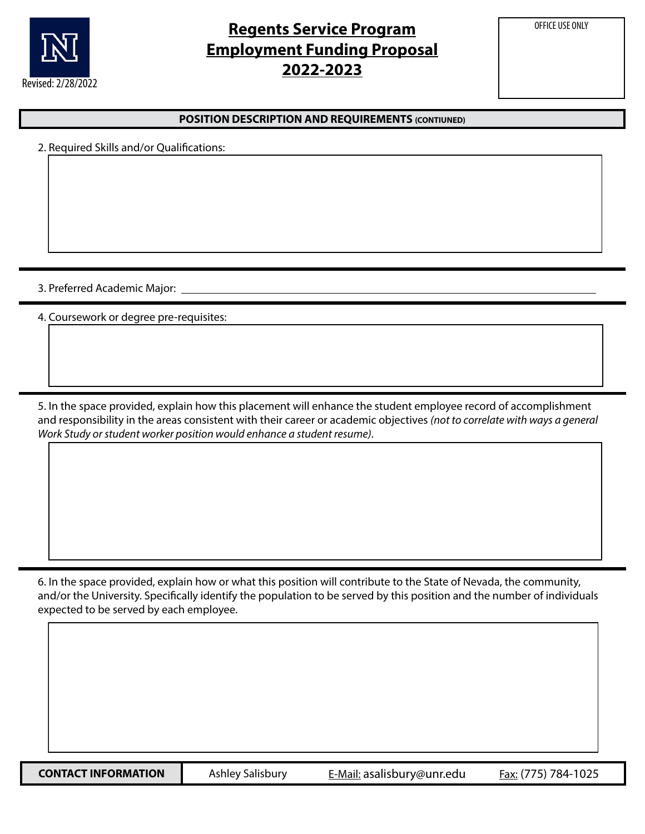

## **Regents Service Program Employment Funding Proposal 2022-2023**

OFFICE USE ONLY

#### **POSITION DESCRIPTION AND REQUIREMENTS (CONTIUNED)**

|  |  |  |  | 2. Required Skills and/or Qualifications: |
|--|--|--|--|-------------------------------------------|
|--|--|--|--|-------------------------------------------|

3. Preferred Academic Major:

4. Coursework or degree pre-requisites:

5. In the space provided, explain how this placement will enhance the student employee record of accomplishment and responsibility in the areas consistent with their career or academic objectives *(not to correlate with ways a general Work Study or student worker position would enhance a student resume)*.

6. In the space provided, explain how or what this position will contribute to the State of Nevada, the community, and/or the University. Specifically identify the population to be served by this position and the number of individuals expected to be served by each employee.

**CONTACT INFORMATION** Ashley Salisbury E-Mail: asalisbury@unr.edu Fax: (775) 784-1025